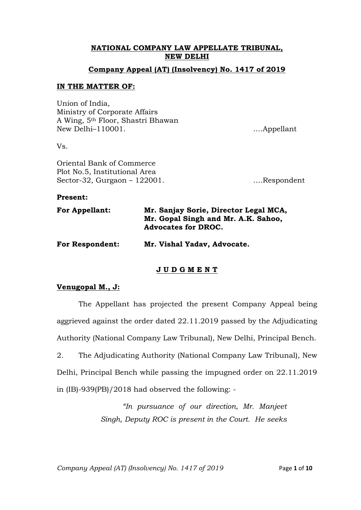# **NATIONAL COMPANY LAW APPELLATE TRIBUNAL, NEW DELHI**

### **Company Appeal (AT) (Insolvency) No. 1417 of 2019**

### **IN THE MATTER OF:**

Union of India, Ministry of Corporate Affairs A Wing, 5th Floor, Shastri Bhawan New Delhi–110001. .…Appellant

Vs.

Oriental Bank of Commerce Plot No.5, Institutional Area Sector-32, Gurgaon – 122001. ….Respondent

#### **Present:**

| <b>For Appellant:</b> | Mr. Sanjay Sorie, Director Legal MCA, |
|-----------------------|---------------------------------------|
|                       | Mr. Gopal Singh and Mr. A.K. Sahoo,   |
|                       | <b>Advocates for DROC.</b>            |
|                       |                                       |

**For Respondent: Mr. Vishal Yadav, Advocate.**

## **J U D G M E N T**

## **Venugopal M., J:**

The Appellant has projected the present Company Appeal being aggrieved against the order dated 22.11.2019 passed by the Adjudicating Authority (National Company Law Tribunal), New Delhi, Principal Bench.

2. The Adjudicating Authority (National Company Law Tribunal), New Delhi, Principal Bench while passing the impugned order on 22.11.2019 in (IB)-939(PB)/2018 had observed the following: -

> *"In pursuance of our direction, Mr. Manjeet Singh, Deputy ROC is present in the Court. He seeks*

*Company Appeal (AT) (Insolvency) No. 1417 of 2019* Page **1** of **10**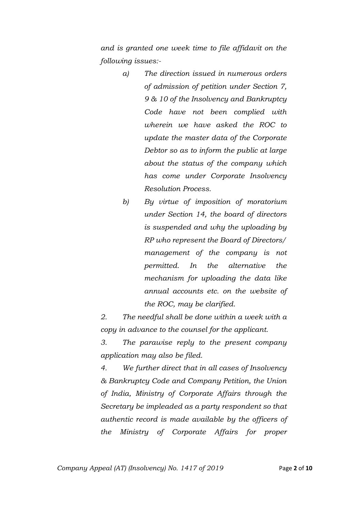*and is granted one week time to file affidavit on the following issues:-*

- *a) The direction issued in numerous orders of admission of petition under Section 7, 9 & 10 of the Insolvency and Bankruptcy Code have not been complied with wherein we have asked the ROC to update the master data of the Corporate Debtor so as to inform the public at large about the status of the company which has come under Corporate Insolvency Resolution Process.*
- *b) By virtue of imposition of moratorium under Section 14, the board of directors is suspended and why the uploading by RP who represent the Board of Directors/ management of the company is not permitted. In the alternative the mechanism for uploading the data like annual accounts etc. on the website of the ROC, may be clarified.*

*2. The needful shall be done within a week with a copy in advance to the counsel for the applicant.*

*3. The parawise reply to the present company application may also be filed.*

*4. We further direct that in all cases of Insolvency & Bankruptcy Code and Company Petition, the Union of India, Ministry of Corporate Affairs through the Secretary be impleaded as a party respondent so that authentic record is made available by the officers of the Ministry of Corporate Affairs for proper*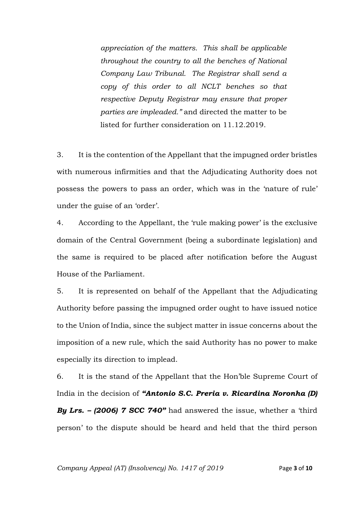*appreciation of the matters. This shall be applicable throughout the country to all the benches of National Company Law Tribunal. The Registrar shall send a copy of this order to all NCLT benches so that respective Deputy Registrar may ensure that proper parties are impleaded."* and directed the matter to be listed for further consideration on 11.12.2019.

3. It is the contention of the Appellant that the impugned order bristles with numerous infirmities and that the Adjudicating Authority does not possess the powers to pass an order, which was in the 'nature of rule' under the guise of an 'order'.

4. According to the Appellant, the 'rule making power' is the exclusive domain of the Central Government (being a subordinate legislation) and the same is required to be placed after notification before the August House of the Parliament.

5. It is represented on behalf of the Appellant that the Adjudicating Authority before passing the impugned order ought to have issued notice to the Union of India, since the subject matter in issue concerns about the imposition of a new rule, which the said Authority has no power to make especially its direction to implead.

6. It is the stand of the Appellant that the Hon'ble Supreme Court of India in the decision of *"Antonio S.C. Preria v. Ricardina Noronha (D) By Lrs. – (2006) 7 SCC 740"* had answered the issue, whether a 'third person' to the dispute should be heard and held that the third person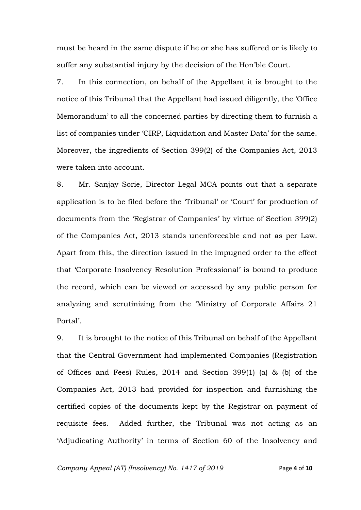must be heard in the same dispute if he or she has suffered or is likely to suffer any substantial injury by the decision of the Hon'ble Court.

7. In this connection, on behalf of the Appellant it is brought to the notice of this Tribunal that the Appellant had issued diligently, the 'Office Memorandum' to all the concerned parties by directing them to furnish a list of companies under 'CIRP, Liquidation and Master Data' for the same. Moreover, the ingredients of Section 399(2) of the Companies Act, 2013 were taken into account.

8. Mr. Sanjay Sorie, Director Legal MCA points out that a separate application is to be filed before the 'Tribunal' or 'Court' for production of documents from the 'Registrar of Companies' by virtue of Section 399(2) of the Companies Act, 2013 stands unenforceable and not as per Law. Apart from this, the direction issued in the impugned order to the effect that 'Corporate Insolvency Resolution Professional' is bound to produce the record, which can be viewed or accessed by any public person for analyzing and scrutinizing from the 'Ministry of Corporate Affairs 21 Portal'.

9. It is brought to the notice of this Tribunal on behalf of the Appellant that the Central Government had implemented Companies (Registration of Offices and Fees) Rules, 2014 and Section 399(1) (a) & (b) of the Companies Act, 2013 had provided for inspection and furnishing the certified copies of the documents kept by the Registrar on payment of requisite fees. Added further, the Tribunal was not acting as an 'Adjudicating Authority' in terms of Section 60 of the Insolvency and

*Company Appeal (AT) (Insolvency) No. 1417 of 2019* Page **4** of **10**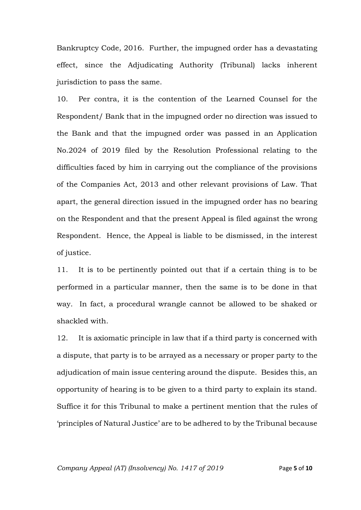Bankruptcy Code, 2016. Further, the impugned order has a devastating effect, since the Adjudicating Authority (Tribunal) lacks inherent jurisdiction to pass the same.

10. Per contra, it is the contention of the Learned Counsel for the Respondent/ Bank that in the impugned order no direction was issued to the Bank and that the impugned order was passed in an Application No.2024 of 2019 filed by the Resolution Professional relating to the difficulties faced by him in carrying out the compliance of the provisions of the Companies Act, 2013 and other relevant provisions of Law. That apart, the general direction issued in the impugned order has no bearing on the Respondent and that the present Appeal is filed against the wrong Respondent. Hence, the Appeal is liable to be dismissed, in the interest of justice.

11. It is to be pertinently pointed out that if a certain thing is to be performed in a particular manner, then the same is to be done in that way. In fact, a procedural wrangle cannot be allowed to be shaked or shackled with.

12. It is axiomatic principle in law that if a third party is concerned with a dispute, that party is to be arrayed as a necessary or proper party to the adjudication of main issue centering around the dispute. Besides this, an opportunity of hearing is to be given to a third party to explain its stand. Suffice it for this Tribunal to make a pertinent mention that the rules of 'principles of Natural Justice' are to be adhered to by the Tribunal because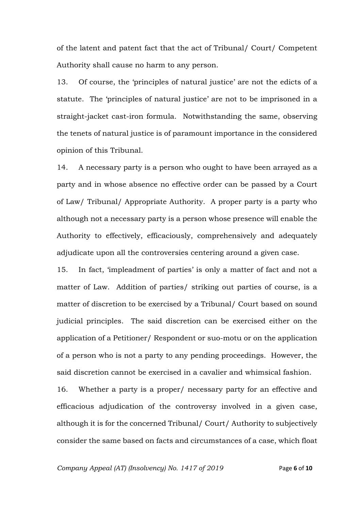of the latent and patent fact that the act of Tribunal/ Court/ Competent Authority shall cause no harm to any person.

13. Of course, the 'principles of natural justice' are not the edicts of a statute. The 'principles of natural justice' are not to be imprisoned in a straight-jacket cast-iron formula. Notwithstanding the same, observing the tenets of natural justice is of paramount importance in the considered opinion of this Tribunal.

14. A necessary party is a person who ought to have been arrayed as a party and in whose absence no effective order can be passed by a Court of Law/ Tribunal/ Appropriate Authority. A proper party is a party who although not a necessary party is a person whose presence will enable the Authority to effectively, efficaciously, comprehensively and adequately adjudicate upon all the controversies centering around a given case.

15. In fact, 'impleadment of parties' is only a matter of fact and not a matter of Law. Addition of parties/ striking out parties of course, is a matter of discretion to be exercised by a Tribunal/ Court based on sound judicial principles. The said discretion can be exercised either on the application of a Petitioner/ Respondent or suo-motu or on the application of a person who is not a party to any pending proceedings. However, the said discretion cannot be exercised in a cavalier and whimsical fashion.

16. Whether a party is a proper/ necessary party for an effective and efficacious adjudication of the controversy involved in a given case, although it is for the concerned Tribunal/ Court/ Authority to subjectively consider the same based on facts and circumstances of a case, which float

*Company Appeal (AT) (Insolvency) No. 1417 of 2019* Page **6** of **10**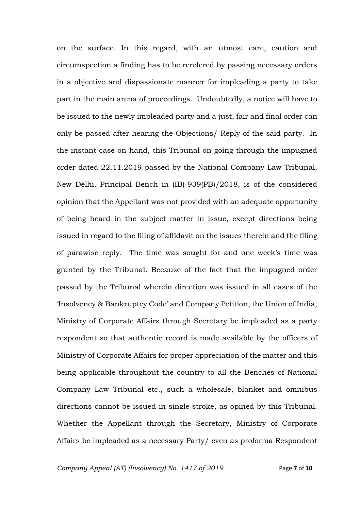on the surface. In this regard, with an utmost care, caution and circumspection a finding has to be rendered by passing necessary orders in a objective and dispassionate manner for impleading a party to take part in the main arena of proceedings. Undoubtedly, a notice will have to be issued to the newly impleaded party and a just, fair and final order can only be passed after hearing the Objections/ Reply of the said party. In the instant case on hand, this Tribunal on going through the impugned order dated 22.11.2019 passed by the National Company Law Tribunal, New Delhi, Principal Bench in (IB)-939(PB)/2018, is of the considered opinion that the Appellant was not provided with an adequate opportunity of being heard in the subject matter in issue, except directions being issued in regard to the filing of affidavit on the issues therein and the filing of parawise reply. The time was sought for and one week's time was granted by the Tribunal. Because of the fact that the impugned order passed by the Tribunal wherein direction was issued in all cases of the 'Insolvency & Bankruptcy Code' and Company Petition, the Union of India, Ministry of Corporate Affairs through Secretary be impleaded as a party respondent so that authentic record is made available by the officers of Ministry of Corporate Affairs for proper appreciation of the matter and this being applicable throughout the country to all the Benches of National Company Law Tribunal etc., such a wholesale, blanket and omnibus directions cannot be issued in single stroke, as opined by this Tribunal. Whether the Appellant through the Secretary, Ministry of Corporate Affairs be impleaded as a necessary Party/ even as proforma Respondent

*Company Appeal (AT) (Insolvency) No. 1417 of 2019* Page **7** of **10**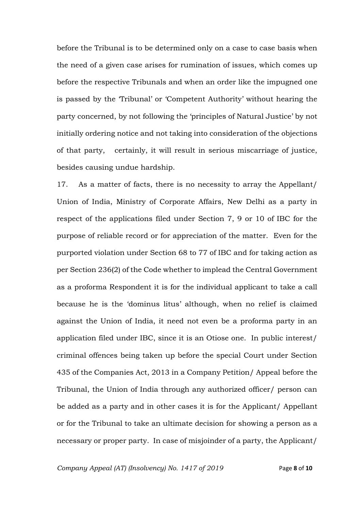before the Tribunal is to be determined only on a case to case basis when the need of a given case arises for rumination of issues, which comes up before the respective Tribunals and when an order like the impugned one is passed by the 'Tribunal' or 'Competent Authority' without hearing the party concerned, by not following the 'principles of Natural Justice' by not initially ordering notice and not taking into consideration of the objections of that party, certainly, it will result in serious miscarriage of justice, besides causing undue hardship.

17. As a matter of facts, there is no necessity to array the Appellant/ Union of India, Ministry of Corporate Affairs, New Delhi as a party in respect of the applications filed under Section 7, 9 or 10 of IBC for the purpose of reliable record or for appreciation of the matter. Even for the purported violation under Section 68 to 77 of IBC and for taking action as per Section 236(2) of the Code whether to implead the Central Government as a proforma Respondent it is for the individual applicant to take a call because he is the 'dominus litus' although, when no relief is claimed against the Union of India, it need not even be a proforma party in an application filed under IBC, since it is an Otiose one. In public interest/ criminal offences being taken up before the special Court under Section 435 of the Companies Act, 2013 in a Company Petition/ Appeal before the Tribunal, the Union of India through any authorized officer/ person can be added as a party and in other cases it is for the Applicant/ Appellant or for the Tribunal to take an ultimate decision for showing a person as a necessary or proper party. In case of misjoinder of a party, the Applicant/

*Company Appeal (AT) (Insolvency) No. 1417 of 2019* Page **8** of **10**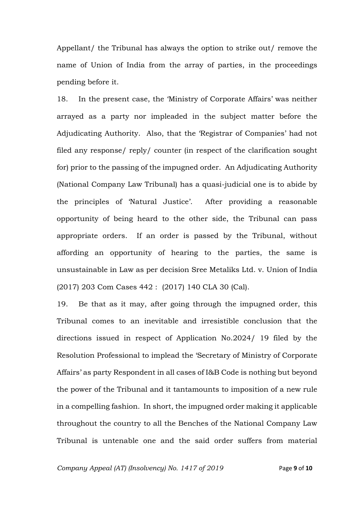Appellant/ the Tribunal has always the option to strike out/ remove the name of Union of India from the array of parties, in the proceedings pending before it.

18. In the present case, the 'Ministry of Corporate Affairs' was neither arrayed as a party nor impleaded in the subject matter before the Adjudicating Authority. Also, that the 'Registrar of Companies' had not filed any response/ reply/ counter (in respect of the clarification sought for) prior to the passing of the impugned order. An Adjudicating Authority (National Company Law Tribunal) has a quasi-judicial one is to abide by the principles of 'Natural Justice'. After providing a reasonable opportunity of being heard to the other side, the Tribunal can pass appropriate orders. If an order is passed by the Tribunal, without affording an opportunity of hearing to the parties, the same is unsustainable in Law as per decision Sree Metaliks Ltd. v. Union of India (2017) 203 Com Cases 442 : (2017) 140 CLA 30 (Cal).

19. Be that as it may, after going through the impugned order, this Tribunal comes to an inevitable and irresistible conclusion that the directions issued in respect of Application No.2024/ 19 filed by the Resolution Professional to implead the 'Secretary of Ministry of Corporate Affairs' as party Respondent in all cases of I&B Code is nothing but beyond the power of the Tribunal and it tantamounts to imposition of a new rule in a compelling fashion. In short, the impugned order making it applicable throughout the country to all the Benches of the National Company Law Tribunal is untenable one and the said order suffers from material